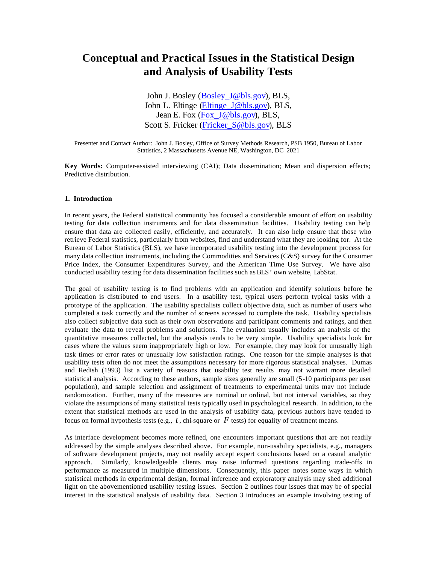# **Conceptual and Practical Issues in the Statistical Design and Analysis of Usability Tests**

John J. Bosley (Bosley J@bls.gov), BLS, John L. Eltinge (Eltinge\_J@bls.gov), BLS, Jean E. Fox (Fox J@bls.gov), BLS, Scott S. Fricker (Fricker\_S@bls.gov), BLS

Presenter and Contact Author: John J. Bosley, Office of Survey Methods Research, PSB 1950, Bureau of Labor Statistics, 2 Massachusetts Avenue NE, Washington, DC 2021

**Key Words:** Computer-assisted interviewing (CAI); Data dissemination; Mean and dispersion effects; Predictive distribution.

## **1. Introduction**

In recent years, the Federal statistical community has focused a considerable amount of effort on usability testing for data collection instruments and for data dissemination facilities. Usability testing can help ensure that data are collected easily, efficiently, and accurately. It can also help ensure that those who retrieve Federal statistics, particularly from websites, find and understand what they are looking for. At the Bureau of Labor Statistics (BLS), we have incorporated usability testing into the development process for many data collection instruments, including the Commodities and Services (C&S) survey for the Consumer Price Index, the Consumer Expenditures Survey, and the American Time Use Survey. We have also conducted usability testing for data dissemination facilities such as BLS' own website, LabStat.

The goal of usability testing is to find problems with an application and identify solutions before the application is distributed to end users. In a usability test, typical users perform typical tasks with a prototype of the application. The usability specialists collect objective data, such as number of users who completed a task correctly and the number of screens accessed to complete the task. Usability specialists also collect subjective data such as their own observations and participant comments and ratings, and then evaluate the data to reveal problems and solutions. The evaluation usually includes an analysis of the quantitative measures collected, but the analysis tends to be very simple. Usability specialists look for cases where the values seem inappropriately high or low. For example, they may look for unusually high task times or error rates or unusually low satisfaction ratings. One reason for the simple analyses is that usability tests often do not meet the assumptions necessary for more rigorous statistical analyses. Dumas and Redish (1993) list a variety of reasons that usability test results may not warrant more detailed statistical analysis. According to these authors, sample sizes generally are small (5-10 participants per user population), and sample selection and assignment of treatments to experimental units may not include randomization. Further, many of the measures are nominal or ordinal, but not interval variables, so they violate the assumptions of many statistical tests typically used in psychological research. In addition, to the extent that statistical methods are used in the analysis of usability data, previous authors have tended to focus on formal hypothesis tests (e.g., *t* , chi-square or *F* tests) for equality of treatment means.

As interface development becomes more refined, one encounters important questions that are not readily addressed by the simple analyses described above. For example, non-usability specialists, e.g., managers of software development projects, may not readily accept expert conclusions based on a casual analytic approach. Similarly, knowledgeable clients may raise informed questions regarding trade-offs in performance as measured in multiple dimensions. Consequently, this paper notes some ways in which statistical methods in experimental design, formal inference and exploratory analysis may shed additional light on the abovementioned usability testing issues. Section 2 outlines four issues that may be of special interest in the statistical analysis of usability data. Section 3 introduces an example involving testing of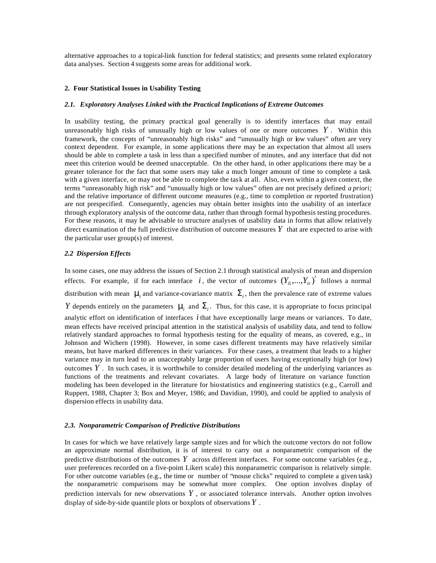alternative approaches to a topical-link function for federal statistics; and presents some related exploratory data analyses. Section 4 suggests some areas for additional work.

### **2. Four Statistical Issues in Usability Testing**

## *2.1. Exploratory Analyses Linked with the Practical Implications of Extreme Outcomes*

In usability testing, the primary practical goal generally is to identify interfaces that may entail unreasonably high risks of unusually high or low values of one or more outcomes  $Y$ . Within this framework, the concepts of "unreasonably high risks" and "unusually high or low values" often are very context dependent. For example, in some applications there may be an expectation that almost all users should be able to complete a task in less than a specified number of minutes, and any interface that did not meet this criterion would be deemed unacceptable. On the other hand, in other applications there may be a greater tolerance for the fact that some users may take a much longer amount of time to complete a task with a given interface, or may not be able to complete the task at all. Also, even within a given context, the terms "unreasonably high risk" and "unusually high or low values" often are not precisely defined *a priori;*  and the relative importance of different outcome measures (e.g., time to completion or reported frustration) are not prespecified. Consequently, agencies may obtain better insights into the usability of an interface through exploratory analysis of the outcome data, rather than through formal hypothesis testing procedures. For these reasons, it may be advisable to structure analyses of usability data in forms that allow relatively direct examination of the full predictive distribution of outcome measures *Y* that are expected to arise with the particular user group(s) of interest.

## *2.2 Dispersion Effects*

In some cases, one may address the issues of Section 2.1 through statistical analysis of mean and dispersion effects. For example, if for each interface  $i$ , the vector of outcomes  $(Y_{i1},...,Y_{i},')'$  follows a normal distribution with mean  $m_i$  and variance-covariance matrix  $\Sigma_i$ , then the prevalence rate of extreme values *Y* depends entirely on the parameters  $m_i$  and  $\Sigma_i$ . Thus, for this case, it is appropriate to focus principal analytic effort on identification of interfaces  $i$  that have exceptionally large means or variances. To date, mean effects have received principal attention in the statistical analysis of usability data, and tend to follow relatively standard approaches to formal hypothesis testing for the equality of means, as covered, e.g., in Johnson and Wichern (1998). However, in some cases different treatments may have relatively similar means, but have marked differences in their variances. For these cases, a treatment that leads to a higher variance may in turn lead to an unacceptably large proportion of users having exceptionally high (or low) outcomes  $Y$ . In such cases, it is worthwhile to consider detailed modeling of the underlying variances as functions of the treatments and relevant covariates. A large body of literature on variance function modeling has been developed in the literature for biostatistics and engineering statistics (e.g., Carroll and Ruppert, 1988, Chapter 3; Box and Meyer, 1986; and Davidian, 1990), and could be applied to analysis of dispersion effects in usability data.

### *2.3. Nonparametric Comparison of Predictive Distributions*

In cases for which we have relatively large sample sizes and for which the outcome vectors do not follow an approximate normal distribution, it is of interest to carry out a nonparametric comparison of the predictive distributions of the outcomes  $Y$  across different interfaces. For some outcome variables (e.g., user preferences recorded on a five-point Likert scale) this nonparametric comparison is relatively simple. For other outcome variables (e.g., the time or number of "mouse clicks" required to complete a given task) the nonparametric comparisons may be somewhat more complex. One option involves display of prediction intervals for new observations *Y* , or associated tolerance intervals. Another option involves display of side-by-side quantile plots or boxplots of observations *Y* .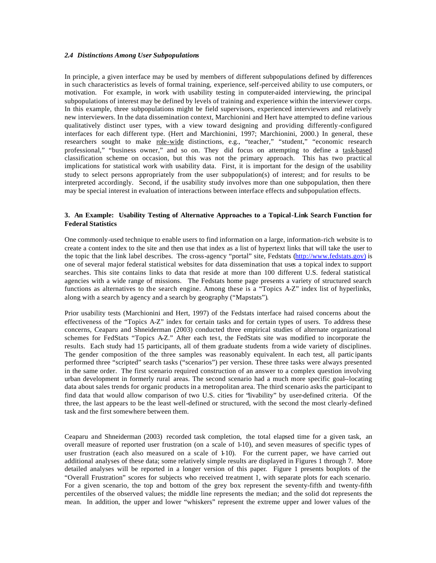## *2.4 Distinctions Among User Subpopulations*

In principle, a given interface may be used by members of different subpopulations defined by differences in such characteristics as levels of formal training, experience, self-perceived ability to use computers, or motivation. For example, in work with usability testing in computer-aided interviewing, the principal subpopulations of interest may be defined by levels of training and experience within the interviewer corps. In this example, three subpopulations might be field supervisors, experienced interviewers and relatively new interviewers. In the data dissemination context, Marchionini and Hert have attempted to define various qualitatively distinct user types, with a view toward designing and providing differently-configured interfaces for each different type. (Hert and Marchionini, 1997; Marchionini, 2000.) In general, these researchers sought to make role-wide distinctions, e.g., "teacher," "student," "economic research professional," "business owner," and so on. They did focus on attempting to define a task-based classification scheme on occasion, but this was not the primary approach. This has two practical implications for statistical work with usability data. First, it is important for the design of the usability study to select persons appropriately from the user subpopulation(s) of interest; and for results to be interpreted accordingly. Second, if the usability study involves more than one subpopulation, then there may be special interest in evaluation of interactions between interface effects and subpopulation effects.

# **3. An Example: Usability Testing of Alternative Approaches to a Topical-Link Search Function for Federal Statistics**

One commonly-used technique to enable users to find information on a large, information-rich website is to create a content index to the site and then use that index as a list of hypertext links that will take the user to the topic that the link label describes. The cross-agency "portal" site, Fedstats (http://www.fedstats.gov) is one of several major federal statistical websites for data dissemination that uses a topical index to support searches. This site contains links to data that reside at more than 100 different U.S. federal statistical agencies with a wide range of missions. The Fedstats home page presents a variety of structured search functions as alternatives to the search engine. Among these is a "Topics A-Z" index list of hyperlinks, along with a search by agency and a search by geography ("Mapstats").

Prior usability tests (Marchionini and Hert, 1997) of the Fedstats interface had raised concerns about the effectiveness of the "Topics A-Z" index for certain tasks and for certain types of users. To address these concerns, Ceaparu and Shneiderman (2003) conducted three empirical studies of alternate organizational schemes for FedStats "Topics A-Z." After each test, the FedStats site was modified to incorporate the results. Each study had 15 participants, all of them graduate students from a wide variety of disciplines. The gender composition of the three samples was reasonably equivalent. In each test, all partic ipants performed three "scripted" search tasks ("scenarios") per version. These three tasks were always presented in the same order. The first scenario required construction of an answer to a complex question involving urban development in formerly rural areas. The second scenario had a much more specific goal--locating data about sales trends for organic products in a metropolitan area. The third scenario asks the participant to find data that would allow comparison of two U.S. cities for "livability" by user-defined criteria. Of the three, the last appears to be the least well-defined or structured, with the second the most clearly-defined task and the first somewhere between them.

Ceaparu and Shneiderman (2003) recorded task completion, the total elapsed time for a given task, an overall measure of reported user frustration (on a scale of 1-10), and seven measures of specific types of user frustration (each also measured on a scale of 1-10). For the current paper, we have carried out additional analyses of these data; some relatively simple results are displayed in Figures 1 through 7. More detailed analyses will be reported in a longer version of this paper. Figure 1 presents boxplots of the "Overall Frustration" scores for subjects who received treatment 1, with separate plots for each scenario. For a given scenario, the top and bottom of the grey box represent the seventy-fifth and twenty-fifth percentiles of the observed values; the middle line represents the median; and the solid dot represents the mean. In addition, the upper and lower "whiskers" represent the extreme upper and lower values of the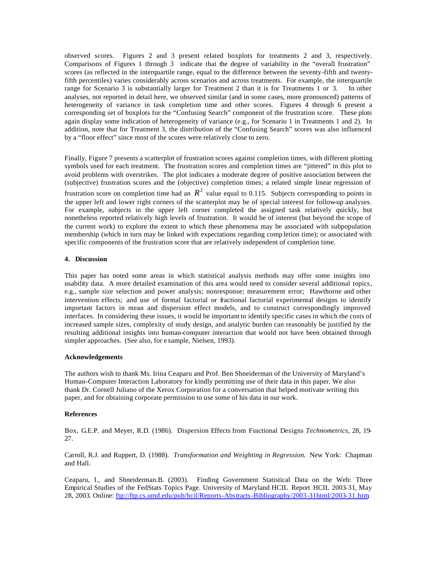observed scores. Figures 2 and 3 present related boxplots for treatments 2 and 3, respectively. Comparisons of Figures 1 through 3 indicate that the degree of variability in the "overall frustration" scores (as reflected in the interquartile range, equal to the difference between the seventy-fifth and twentyfifth percentiles) varies considerably across scenarios and across treatments. For example, the interquartile range for Scenario 3 is substantially larger for Treatment 2 than it is for Treatments 1 or 3. In other analyses, not reported in detail here, we observed similar (and in some cases, more pronounced) patterns of heterogeneity of variance in task completion time and other scores. Figures 4 through 6 present a corresponding set of boxplots for the "Confusing Search" component of the frustration score. These plots again display some indication of heterogeneity of variance (e.g., for Scenario 1 in Treatments 1 and 2). In addition, note that for Treatment 3, the distribution of the "Confusing Search" scores was also influenced by a "floor effect" since most of the scores were relatively close to zero.

Finally, Figure 7 presents a scatterplot of frustration scores against completion times, with different plotting symbols used for each treatment. The frustration scores and completion times are "jittered" in this plot to avoid problems with overstrikes. The plot indicates a moderate degree of positive association between the (subjective) frustration scores and the (objective) completion times; a related simple linear regression of frustration score on completion time had an  $R^2$  value equal to 0.115. Subjects corresponding to points in the upper left and lower right corners of the scatterplot may be of special interest for follow-up analyses. For example, subjects in the upper left corner completed the assigned task relatively quickly, but nonetheless reported relatively high levels of frustration. It would be of interest (but beyond the scope of the current work) to explore the extent to which these phenomena may be associated with subpopulation membership (which in turn may be linked with expectations regarding comp letion time); or associated with specific components of the frustration score that are relatively independent of completion time.

## **4. Discussion**

This paper has noted some areas in which statistical analysis methods may offer some insights into usability data. A more detailed examination of this area would need to consider several additional topics, e.g., sample size selection and power analysis; nonresponse; measurement error; Hawthorne and other intervention effects; and use of formal factorial or fractional factorial experimental designs to identify important factors in mean and dispersion effect models, and to construct correspondingly improved interfaces. In considering these issues, it would be important to identify specific cases in which the costs of increased sample sizes, complexity of study design, and analytic burden can reasonably be justified by the resulting additional insights into human-computer interaction that would not have been obtained through simpler approaches. (See also, for example, Nielsen, 1993).

### **Acknowledgements**

The authors wish to thank Ms. Irina Ceaparu and Prof. Ben Shneiderman of the University of Maryland's Human-Computer Interaction Laboratory for kindly permitting use of their data in this paper. We also thank Dr. Cornell Juliano of the Xerox Corporation for a conversation that helped motivate writing this paper, and for obtaining corporate permission to use some of his data in our work.

### **References**

Box, G.E.P. and Meyer, R.D. (1986). Dispersion Effects from Fractional Designs *Technometrics*, 28, 19- 27.

Carroll, R.J. and Ruppert, D. (1988). *Transformation and Weighting in Regression.* New York: Chapman and Hall.

Ceaparu, I., and Shneiderman.B. (2003). Finding Government Statistical Data on the Web: Three Empirical Studies of the FedStats Topics Page. University of Maryland HCIL Report HCIL 2003-31, May 28, 2003. Online: ftp://ftp.cs.umd.edu/pub/hcil/Reports-Abstracts-Bibliography/2003-31html/2003-31.htm,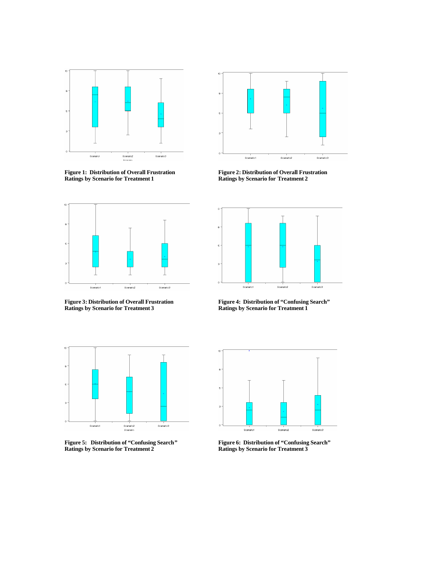

**Figure 1: Distribution of Overall Frustration Figure 2: Distribution of Overall Frustration**



**Figure 3: Distribution of Overall Frustration Figure 4: Distribution of "Confusing Search"** 



**Ratings by Scenario for Treatment 1 Ratings by Scenario for Treatment 2**



**Ratings by Scenario for Treatment 3 Ratings by Scenario for Treatment 1**



**Figure 5: Distribution of "Confusing Search" Figure 6: Distribution of "Confusing Search"**



**Ratings by Scenario for Treatment 2 Ratings by Scenario for Treatment 3**